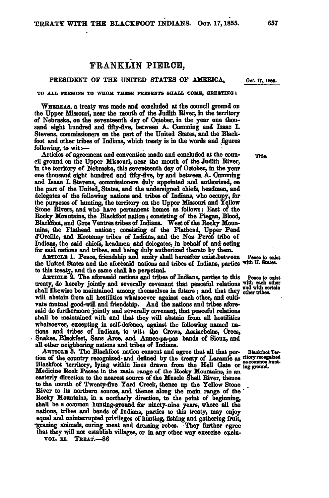# FRANKLIN PIERCE,

## **PRESIDENT OF THE UNITED STATES OF AMERICA,**  $\qquad$  **Oct. 17, 1855.**

#### TO ALL PERSONS TO WHOM THESE PRESENTS SHALL COME, GREETING:

**WHEXEAS,** a treaty was made and concluded **at** the council ground on the Upper Missouri, near the mouth of the Judith River, in the territory of Nebraska, on the seventeenth day of October, in the year one thousand eight hundred and fifty-five, between A. Cumming and Isaac I. Stevens, commissioners on the part of the United States, and the Blackfoot and other tribes of Indians, which treaty is in the words and *figures*<br>following, to wit :--

Articles of agreement and convention made and concluded at the coun- Title. cil ground on the Upper Missouri, near the mouth of the Judith River, **fn** the territory of Nebraska, this seventeenth day of October, in the year one thousand eight hundred and Hty-five, by and between **A** Cumming and Isaac I. Stevens, commissioners duly appointed and authorized, on the part of the United. States, and the undersigned chiefs, headmen, and delegates of the following nations and tribes of Indians, who occupy, for the purposes of hunting, the territory on the Upper Missouri and Yellow Stone Rivers, and who have permanent homes as follows: East of the the purposes of hunting, the territory on the Upper Missouri and Yellow<br>Stone Rivers, and who have permanent homes as follows: East of the<br>Rocky Mountains, the Blackfoot nation; consisting of the Piegan, Blood, Blackfoot, and Gros Ventres tribes of Indians. West of the Rocky Mountains, the Flathead nation; consisting of the Flathead, Upper Pend d'Oreille, and Kootenay tribes of Indians, and the Nez Perce tribe of Indians, the said chiefs, headmen and delegates, in behalf of and acting for said nations and tribes, and being duly authorized thereto by them.

ABTICLE 1. Peace, friendship and amity shall hereafter exist.between **Peace** to exist the United States and the aforesaid nations and tribes of Indians, parties with U. States. to this treaty, and the same shall be perpetual.

ARTICLE 2. The aforesaid nations and tribes of Indians, parties to this Peace to exist treaty, do hereby jointly and severally covenant that peaceful relations with each other shall likewise be maintained among themselves in future; and that they other tribes. will abstain from all hestilities whatsoever against each other, and cultivate mutual good-will and friendship. And the nations and tribes aforesaid do furthermore jointly and severally covenant, that peaceful relations shall be maintained with **ancl** that they will abstain **from all** hostilities whatsoever, excepting in self-defence, **against** the following named na-Snakes, Blackfeet, Sans Arce, and Aunce-pa-pas bands of Sioux, and all other neighboring nations and tribes of Indians.

ABTICLE 8. The Blackfoot nation consent and agree that all that por-Blackfoot Tertion of the country recognized and defined by the treaty of Laramie as ritory recognized tion of any country recognized and defined by the theaty of Laramie as as common hunt-Blackfoot 'territory, lying within lines drawn from the Hell Gate or ing ground. Medicine **&ak Passes** in the **main** range of the **aook** Mountains, in an easterly direction **to** the **nearest** source of the Muole &dl River, theuce **to** the mouth of Twenty-five Yard **Creek,** thence up the Yellow Stone . River **to** its northern source, and tlience along the main range of the ' Rocky Xountains, in a northerly direction, **to** the point of beginning, shall be a common hunting-ground for nincty-nine years, where all the nations, tribes and bands of Indians, parties to this treaty, may enjoy equal **and** uninterrupted privileges **of huoting,** Lhing **ancl** gathering hit, **-grazing** himals, curing meat and dmsing **mbes.** -They fher Pgree that they will not establish villages, or in any otber way exercise esclu-VOL. **XI. %~~.--86**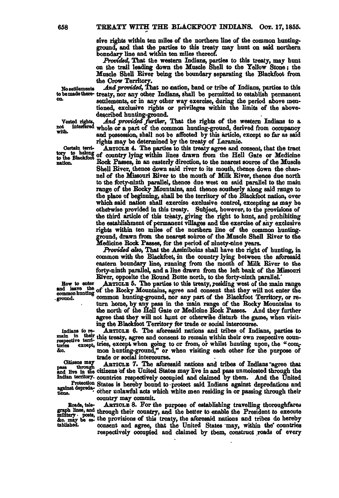sive rights **within** ten miles of the northern lime of the common huntingground, and that the parties to this treaty may hunt on said northern bonndary line and within ten miles thereof. sive rights within ten miles of the northern line of the common hunting-<br>ground, and that the parties to this treaty may hunt on said northern<br>bonndary line and within ten miles thereof.<br>*Provided*, That the western Indian

**on** the trail leading down the Muscle 8hell **to** the Yellow Stone ; the Muscle Shell Ever **beiig** the boundary separating the Blackfoot **from**  the Crow Territory.

No settlements *And provided*, That no nation, band or tribe of Indians, parties to this to be made there- treaty, nor any other Indians, shall be permitted to establish permanent settlements, or in any other way exercise, during the period above mentioned, exclusive rights or privileges within the limits of the abovedescribed hunting-ground.

**Vested rights,** And provided further, That the rights of the western Indians to a not interfered whole or a part of the common hunting-ground derived from commons not interfered whole or a part of the common hunting-ground, derived from occupancy with.<br>
with.<br>
and possession, shall not be affected by this article, except so far as said rights may be determined by the treaty **of** Laramie.

Cortain terri-<br> **ABTIOLM 4.** The parties to this treaty agree and consent, that the tract<br>
to the Blackfoot of country lying within lines drawn from the Hell Gate or Medicine<br>
nation.<br>
Rock Passes, in an easterly direction Rock Passes, in an easterly direction, to the nearest source of the Muscle Shell River, thence **down** said river **to** its mouth, thence down the channel of the Missouri River to the mouth of Milk River, thence due north to the firty-ninth parallel, thence due west on said parallel to thc **main**  range of the Rocky Mountains, and thence southerly along said range to the place of beginning, shall be the territory of the Blackfoot nation, over which said nation shall exercise exclusive control, excepting as may be otherwise provided in this treaty. Subject, however, to the provisions of the third article of this treaty, giving the right to hunt, and prohibiting the estahlishment of permanent villages and the exercise of any exclusive rights within ten miles of the northern line **of** the common huntingground, drawn from the nearest source of the Muscle Shell River to the Medicine Rock Passes, for the period of ninety-nine years.

Provided also, That the Assiniboins shall have the right of hunting, in common **with** the Blackfcet, **in** the country lying between the &resaid eastern boundary line, running from the mouth of Milk River to the forty-ninth parallel, and a line drawn from the left bank of the Missouri River, opposite the Bound Butte north, **to** the forty-ninth **parallel.'** 

How to enter **ARTIOLE 5.** The parties to this treaty, residing west of the main range and leave the of the Rocky Mountains, agree and consent that they will not enter the common hunting-ground, nor any part of the Blackfoo turn home, by any pass in the main range of the Rocky Mountains to **the** north of the Hell **Gate** or Medioine Bock Passes. **And** they further agree that they will not hunt or otherwise disturb the game, when visiting the Blackfoot Territory for trade or social intercourse.

**hodians** to re- **ABTIOLE** 6. The aforesaid nations and tribes of Indians, parties to main in their this treaty person and consent to remain within their own respective county their this treaty, agree and consent to remain within their own respective counexcept, tries, except when going to or from, or whilst hunting upon, the "comtrade or social intercourse.<br>ARTICLE 7. The aforesaid nations and tribes of Indians agree that mon hunting-ground," or when visiting each other for the purpose of

trade or social intercourse.<br>
pass through ARTICLE 7. The aforesaid nations and tribes of Indians agree that<br>
and live in the citizens of the United States may live in and pass unmolested through the<br>
Indian territory. cou Indian territory. countries respectively occupied and claimed by them. And the United<br>Protections States is hereby bound to protect said Indians against depredations and against depredative brasses a heavily women in process and a control of the passing through their

country may commit.<br>ARTIOLE 8. For the purpose of establishing travelling thoroughfares Roads, tele- **ABTIOLE** 8. For the purpose of establishing travelling thoroughfares graph lines, and through their country, and the better to enable the President to execute whitery. posts, unrough ment wurder, we was a well-controlled and tribes do hereby  $\&c.$  may be  $e$ . the provisions of this treaty, the aforesaid nations and tribes do hereby tablished. consent and agree, that the United States may, within the countries respectively **occupied** and claimed by tbem, construct **.roads** of every

respective territories **&o.**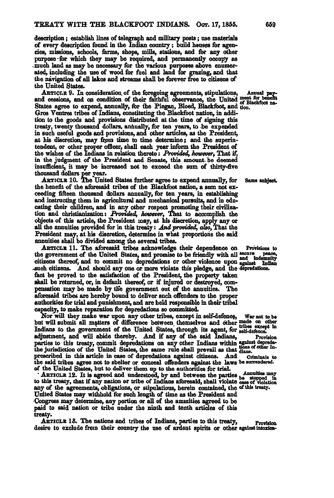description; establish lines of telegraph and military posts; use materials of every description found in the Indian country: build houses for agencies, missions, schools, farms, shops, mills, stations, and for any other purpose for which they may be required, and permanently occupy as much land as may be necessary for the various purposes above enumerated, including the use of wood for fuel and land for grazing, and that the navigation of all lakes and streams shall be forever free to citizens of the United States.

ARTICLE 9. In consideration of the foregoing agreements, stipulations, and cessions, and on condition of their faithful observance, the United ment for benefit States agree to expend, annually, for the Piegan, Bloed, Blackfoot, and tion. Gros Ventres tribes of Indians, constituting the Blackfoot nation, in addition to the goods and provisions distributed at the time of signing this treaty, twenty thousand dollars, annually, for ten years, to be expended in such useful goods and provisions, and other articles, as the President, at his discretion, may from time to time determine; and the superintendent, or other proper officer, shall each year inform the President of the wishes of the Indians in relation thereto: Provided, however, That if, in the judgment of the President and Senate, this amount be deemed insufficient, it may be increased not to exceed the sum of thirty-five thousand dollars per year.<br>ARTICLE 10. The United States further agree to expend annually, for

the henefit of the aforesaid tribes of the Blackfoot nation, a sum not exceeding fifteen thousand dollars annually, for ten years, in establishing and instructing them in agricultural and mechanical pursuits, and in educating their children, and in any other respect promoting their civilization and christianization: Provided, however. That to accomplish the objects of this article, the President may, at his discretion, apply any or all the annuities provided for in this treaty: And provided, also, That the President may, at his discretion, determine in what proportions the said annuities shall bo divided among the several tribes.

ARTICLE 11. The aforesaid tribes acknowledge their dependence on the government of the United States, and promise to be friendly with all secure. citizens thereof, and to commit no depredations or other violence upon against such citizens. And should any one or more violate this pledge, and the depredations. fact be proved to the satisfaction of the President, the property taken shall be returned, or, in default thereof, or if injured or destroyed, compensation may be made by the government out of the annuities. The aforesaid tribes are hereby bound to deliver snch offenders to the proper authorities for trial and punishment, and are held responsible in their tribal capacity, to make reparation for depredations so committed.

Capacity, w make toparamon are well-with a strength in self-defence, War not to be<br>but will submit all matters of difference between themselves and other made on other<br>but will submit all matters of difference between the Indians to the government of the United States, through its agent, for self-defence adjustment, and will abide thereby. And if any of the said Indians, parties to this treaty, commit depredations on any other Indians within against depredathe jurisdiction of the United States, the same rule shall prevail as that dians. prescribed in this article in case of depredations against citizens. And the said tribes agree not to sbelter or conceal offenders against the laws be surrendered. of the United States, but to deliver them up to the authorities for trial.

ARTICLE 12. It is agreed and understoed, by and between the parties hannuities may to this treaty, that if any nation or tribe of Indians aforesaid, shall violate be stopped in any of the agreements, obligations, or stipulatious, herein contained, the of this treaty. United States may withhold for such length of time as the President and Congress may determine, any portion or all of the ammities agreed to be paid to said nation or tribe under the ninth and tenth articles of this treaty.

ARTICLE 13. The nations and tribes of Indians, parties to this treaty, Provision desire to exclude frem their country the use of ardent spirits or other against intoxica-

Annual pay-

Same subject.

Provisions to secure peace,<br>and indemnity Indian

Provision ons of other In-

Criminals to

**Annuities may**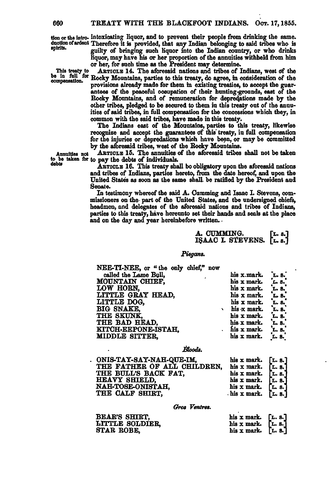tion or the intro- intoxicating liquor, and to prevent their people from drinking the same. duction of ardent Therefore it is provided, that any Indian belonging to said tribes who is spirits. guilty of bringing such liquor into the Indian country, or who drinks liquor, may have his **or** her proportion of the annuities withheld from **him**  or her, for such time as the President may determine.

This treaty to ARTICLE 14. The aforesaid nations and tribes of Indians, west of the be in full for Rocky Mountains, parties to this treaty, do agree, in consideration of the compensation. provisions already made for them **m** existing **treaties,** to accept the parantees of the peaceful occupation of their hunting-grounds, east of the Rocky Mountains, and of remuneration for depredations made by the other tribes, pledged to be secured to them in this treaty out of the annuities of said tribes, in full compensation for the concessions which they, in common with the said tribes, have **made** in **thii treaty.** 

**The** Indims east of the Mountaim, **parties** to **this** treaty, likewise recognize and accept the guarantees of this treaty, in full compensation for the injuries or depredations which have been, or may be committed

by the aforesaid tribes, west of the Rocky Mountains.<br>ARTICLE 15. The annuities of the aforesaid tribes shall not be taken Annuities not **ARTICLE 15.** The annumities to be taken for to pay the debts of individuals.

 $A$ BARTIOLE 16. This treaty shall bo obligatory upon the aforesaid nations and tribes of Indians, parties hereto, from the date hereof, and upon the United States as soon as the same shall, be ratified by the President and Senate.

In testimony whereof the ssid **A.** Cumming and **Issac** I. Stevens, commissioners on the-part of the United States, and the undersigned chiefs, headmen, and delegates of the aforesaid nations **and** tribes of Indians, parties to this treaty, have hereunto set their hands and seals at the place and on the day and year hereinbefore written.

## A. CUMMING. A. CUMMING. [L. s.]<br>**ISAAC I. STEVENS.** [L. s.]

#### Pieaans.

|  | NEE-TI-NEE, or "the only chief," now |  |  |
|--|--------------------------------------|--|--|
|  |                                      |  |  |

| called the Lame Bull, | his x.mark.                                                                                                                | L. 8.             |  |
|-----------------------|----------------------------------------------------------------------------------------------------------------------------|-------------------|--|
| MOUNTAIN CHIEF,       |                                                                                                                            |                   |  |
| LOW HORN,             | $\begin{array}{ll}\n\text{his } x \text{ mark.} & \text{L. s.} \\ \text{his } x \text{ mark.} & \text{L. s.}\n\end{array}$ |                   |  |
| LITTLE GRAY HEAD,     | his x mark.                                                                                                                | $\mathbf{L}$ , s. |  |
| LITTLE DOG,           | his x mark.                                                                                                                | L. 8.             |  |
| BIG SNAKE,            | $\cdot$ his x mark.                                                                                                        | <b>L.S.</b>       |  |
| THE SKUNK.            | his x mark.                                                                                                                | $\mathbf{L}$ . 8. |  |
| THE BAD HEAD,         | his x mark.                                                                                                                | L. 8.             |  |
| KITCH-EEPONE-ISTAH,   | his x mark.                                                                                                                | $\cdot$ L. s.     |  |
| MIDDLE SITTER,        | his x mark.                                                                                                                | L. 8.             |  |

| . ONIS-TAY-SAY-NAH-QUE-IM,  | his x mark. [L. s.]                               |         |
|-----------------------------|---------------------------------------------------|---------|
| THE FATHER OF ALL CHILDREN. | his $x$ mark. $\left[t. 8. \right]$               |         |
| THE BULL'S BACK FAT,        | his x mark. [L. s.]                               |         |
| HEAVY SHIELD,               | his x mark.                                       | [L. 8.] |
| NAH-TOSE-ONISTAH,           | his x mark.                                       | [L. s.] |
| THE CALF SHIRT.             | $h$ his $x$ mark. $\left\lceil r, s \right\rceil$ |         |
|                             |                                                   |         |

### Gros Ventres.

| BEAR'S SHIRT,   |                                                                                                                                  |  |
|-----------------|----------------------------------------------------------------------------------------------------------------------------------|--|
| LITTLE SOLDIER, |                                                                                                                                  |  |
| STAR ROBE,      | his x mark. $\begin{bmatrix} L. & S. \\ h. & S. \end{bmatrix}$<br>his x mark. $\begin{bmatrix} L. & S. \\ L. & S. \end{bmatrix}$ |  |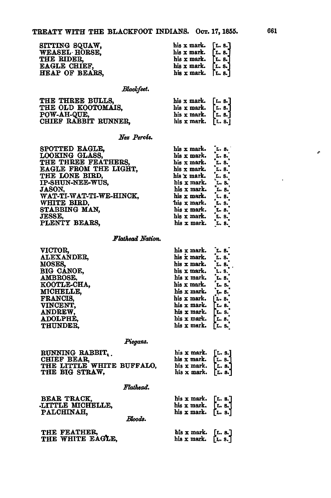| SITTING SQUAW, | his $x$ mark. $\lceil x. s. \rceil$ |  |
|----------------|-------------------------------------|--|
| WEASEL HORSE,  | his $x$ mark. $[L, s.]$             |  |
| THE RIDER.     | his $x$ mark. $[L. 8.]$             |  |
| EAGLE CHIEF,   | his $x$ mark. $\lceil r, s \rceil$  |  |
| HEAP OF BEARS, | his $x$ mark. [L. s.]               |  |

# Blackfeet.

| THE THREE BULLS,     | his $x$ mark. $[L. 8.]$             |  |
|----------------------|-------------------------------------|--|
| THE OLD KOOTOMAIS.   | his $x$ mark. [L. s.]               |  |
| POW-AH-QUE,          | his $x$ mark. $[L, s.]$             |  |
| CHIEF RABBIT RUNNER, | his $x$ mark. $\lceil L. s. \rceil$ |  |

Nez Percés.

| SPOTTED EAGLE,<br>$his \times mark.$                                       |  |
|----------------------------------------------------------------------------|--|
| L. 8.<br>L. 8.<br>L. 8.<br>L. 8.<br>L. 8.<br>LOOKING GLASS.<br>his x mark. |  |
| THE THREE FEATHERS.<br>his x mark.                                         |  |
| EAGLE FROM THE LIGHT,<br>his x mark.                                       |  |
| THE LONE BIRD,<br>his 'x mark.                                             |  |
| <b>IP-SHUN-NEE-WUS,</b><br>his x mark.                                     |  |
| his x mark.<br>JASON.                                                      |  |
| WAT-TI-WAT-TI-WE-HINCK,<br>his x mark.                                     |  |
| WHITE BIRD.<br>his x mark.                                                 |  |
| STABBING MAN,<br>his x mark.                                               |  |
| JESSE.<br>his x mark.                                                      |  |
| PLENTY BEARS,<br>his x mark.                                               |  |

# Flathead Nation.

| his x mark. | $\left[$ L. 8. $\right]$ |
|-------------|--------------------------|
| his x mark. | L. s.                    |
| his x mark. | L. S.                    |
| his x mark. | L. S.                    |
| his x mark. | L. S.                    |
| his x mark. | L. S.                    |
| his x mark. | L. S.                    |
| his x mark. | L. S.                    |
| his x mark. | L. S.                    |
| his x mark. | L. S.                    |
| his x mark. | L. S.                    |
| his x mark. |                          |
|             |                          |

# *Piegans.*

| RUNNING RABBIT,           | his $x$ mark. $\lceil x \cdot s \cdot \rceil$ |  |
|---------------------------|-----------------------------------------------|--|
| CHIEF BEAR.               | his $x$ mark. $[L. s.]$                       |  |
| THE LITTLE WHITE BUFFALO. | his $x$ mark. $[L. s.]$                       |  |
| THE BIG STRAW.            | his $x$ mark. $[L. s.]$                       |  |

# Flathead.

| BEAR TRACK.<br>LITTLE MICHELLE,<br>PALCHINAH,<br><b>Rloods.</b> |  | his $x$ mark. [ $L. 8$ .]<br>his $x$ mark. [ $L. 8$ .]<br>his $x$ mark. [ $L. 8$ .]                                          |  |
|-----------------------------------------------------------------|--|------------------------------------------------------------------------------------------------------------------------------|--|
| THE FEATHER,<br>THE WHITE EAGLE,                                |  | his $x$ mark. $\begin{bmatrix} 1 & s \\ s & s \end{bmatrix}$<br>his $x$ mark. $\begin{bmatrix} 1 & s \\ s & s \end{bmatrix}$ |  |

 $\ddot{\phantom{1}}$ 

k.